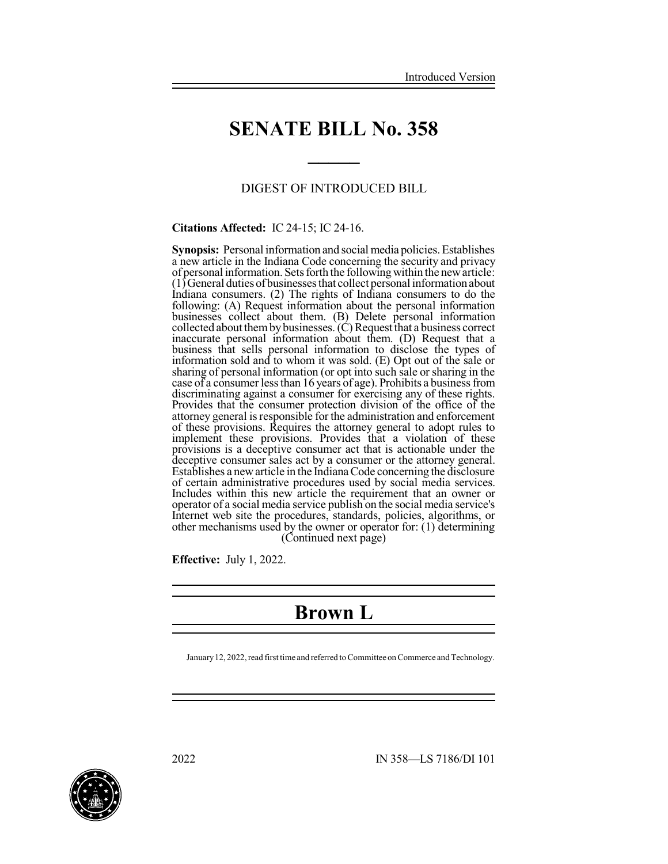## **SENATE BILL No. 358**

**\_\_\_\_\_**

#### DIGEST OF INTRODUCED BILL

**Citations Affected:** IC 24-15; IC 24-16.

**Synopsis:** Personal information and social media policies. Establishes a new article in the Indiana Code concerning the security and privacy of personal information. Sets forth the following within the new article:  $(1)$  General duties of businesses that collect personal information about Indiana consumers. (2) The rights of Indiana consumers to do the following: (A) Request information about the personal information businesses collect about them. (B) Delete personal information collected about them by businesses.  $(C)$  Request that a business correct inaccurate personal information about them. (D) Request that a business that sells personal information to disclose the types of information sold and to whom it was sold. (E) Opt out of the sale or sharing of personal information (or opt into such sale or sharing in the case of a consumer less than 16 years of age). Prohibits a business from discriminating against a consumer for exercising any of these rights. Provides that the consumer protection division of the office of the attorney general is responsible for the administration and enforcement of these provisions. Requires the attorney general to adopt rules to implement these provisions. Provides that a violation of these provisions is a deceptive consumer act that is actionable under the deceptive consumer sales act by a consumer or the attorney general. Establishes a newarticle in the IndianaCode concerning the disclosure of certain administrative procedures used by social media services. Includes within this new article the requirement that an owner or operator of a social media service publish on the social media service's Internet web site the procedures, standards, policies, algorithms, or other mechanisms used by the owner or operator for: (1) determining (Continued next page)

**Effective:** July 1, 2022.

### **Brown L**

January 12, 2022, read first time and referred to Committee on Commerce and Technology.

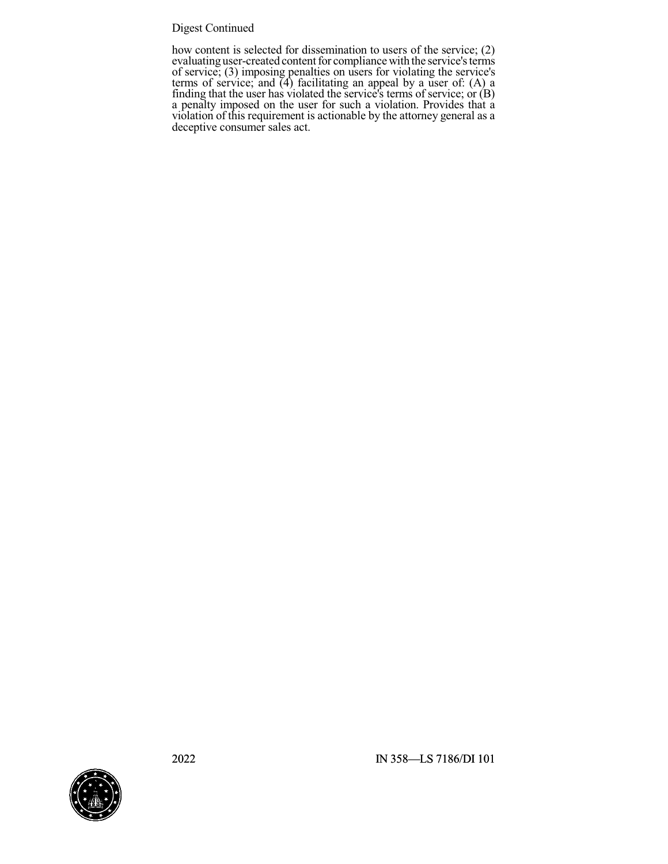### Digest Continued

how content is selected for dissemination to users of the service; (2) evaluating user-created content for compliance with the service's terms of service; (3) imposing penalties on users for violating the service's terms of service; and (4) facilitating an appeal by a user of: (A) a finding that the user has violated the service's terms of service; or (B) a penalty imposed on the user for such a violation. Provides that a violation of this requirement is actionable by the attorney general as a deceptive consumer sales act.

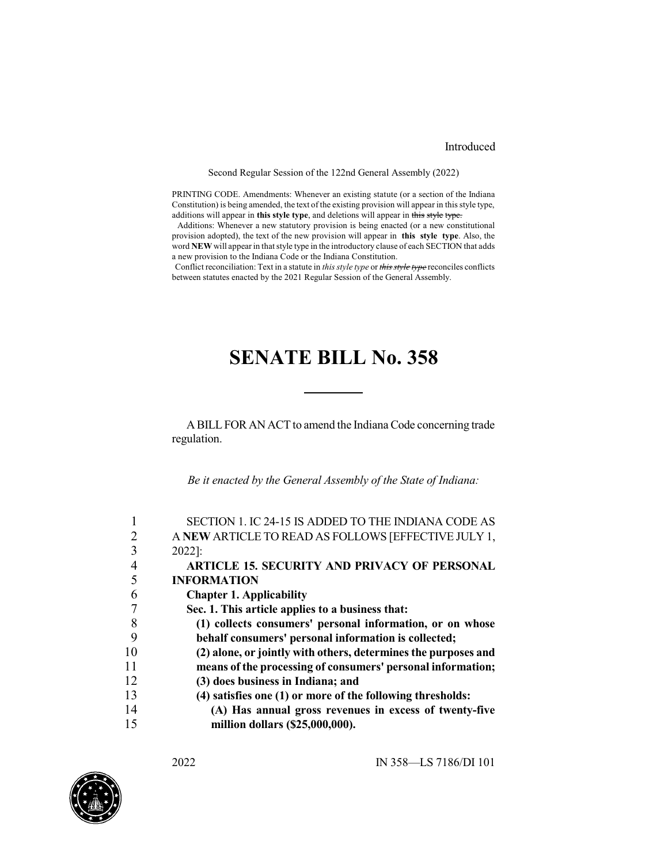#### Introduced

Second Regular Session of the 122nd General Assembly (2022)

PRINTING CODE. Amendments: Whenever an existing statute (or a section of the Indiana Constitution) is being amended, the text of the existing provision will appear in this style type, additions will appear in **this style type**, and deletions will appear in this style type.

Additions: Whenever a new statutory provision is being enacted (or a new constitutional provision adopted), the text of the new provision will appear in **this style type**. Also, the word **NEW** will appear in that style type in the introductory clause of each SECTION that adds a new provision to the Indiana Code or the Indiana Constitution.

Conflict reconciliation: Text in a statute in *this style type* or *this style type* reconciles conflicts between statutes enacted by the 2021 Regular Session of the General Assembly.

# **SENATE BILL No. 358**

A BILL FOR AN ACT to amend the Indiana Code concerning trade regulation.

*Be it enacted by the General Assembly of the State of Indiana:*

|    | SECTION 1. IC 24-15 IS ADDED TO THE INDIANA CODE AS            |
|----|----------------------------------------------------------------|
|    | A NEW ARTICLE TO READ AS FOLLOWS [EFFECTIVE JULY 1,            |
| 3  | 2022]:                                                         |
|    | ARTICLE 15. SECURITY AND PRIVACY OF PERSONAL                   |
|    | <b>INFORMATION</b>                                             |
|    | <b>Chapter 1. Applicability</b>                                |
|    | Sec. 1. This article applies to a business that:               |
| 8  | (1) collects consumers' personal information, or on whose      |
|    | behalf consumers' personal information is collected;           |
| 10 | (2) alone, or jointly with others, determines the purposes and |
| 11 | means of the processing of consumers' personal information;    |
| 12 | (3) does business in Indiana; and                              |
| 13 | (4) satisfies one (1) or more of the following thresholds:     |
| 14 | (A) Has annual gross revenues in excess of twenty-five         |
| 15 | million dollars (\$25,000,000).                                |
|    |                                                                |

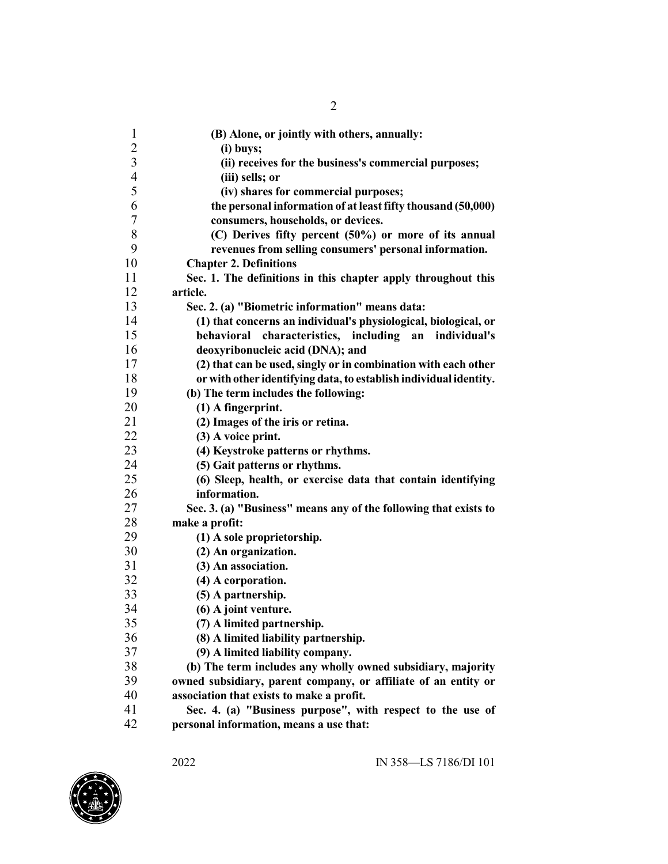| $\mathbf{1}$   | (B) Alone, or jointly with others, annually:                      |
|----------------|-------------------------------------------------------------------|
| $\overline{2}$ | (i) buys;                                                         |
| $\mathfrak{Z}$ | (ii) receives for the business's commercial purposes;             |
| $\overline{4}$ | (iii) sells; or                                                   |
| 5              | (iv) shares for commercial purposes;                              |
| 6              | the personal information of at least fifty thousand (50,000)      |
| 7              | consumers, households, or devices.                                |
| 8              | (C) Derives fifty percent (50%) or more of its annual             |
| 9              | revenues from selling consumers' personal information.            |
| 10             | <b>Chapter 2. Definitions</b>                                     |
| 11             | Sec. 1. The definitions in this chapter apply throughout this     |
| 12             | article.                                                          |
| 13             | Sec. 2. (a) "Biometric information" means data:                   |
| 14             | (1) that concerns an individual's physiological, biological, or   |
| 15             | behavioral characteristics, including<br>individual's<br>an       |
| 16             | deoxyribonucleic acid (DNA); and                                  |
| 17             | (2) that can be used, singly or in combination with each other    |
| 18             | or with other identifying data, to establish individual identity. |
| 19             | (b) The term includes the following:                              |
| 20             | $(1)$ A fingerprint.                                              |
| 21             | (2) Images of the iris or retina.                                 |
| 22             | $(3)$ A voice print.                                              |
| 23             | (4) Keystroke patterns or rhythms.                                |
| 24             | (5) Gait patterns or rhythms.                                     |
| 25             | (6) Sleep, health, or exercise data that contain identifying      |
| 26             | information.                                                      |
| 27             | Sec. 3. (a) "Business" means any of the following that exists to  |
| 28             | make a profit:                                                    |
| 29             | (1) A sole proprietorship.                                        |
| 30             | (2) An organization.                                              |
| 31             | (3) An association.                                               |
| 32             | (4) A corporation.                                                |
| 33             | (5) A partnership.                                                |
| 34             | (6) A joint venture.                                              |
| 35             | (7) A limited partnership.                                        |
| 36             | (8) A limited liability partnership.                              |
| 37             | (9) A limited liability company.                                  |
| 38             | (b) The term includes any wholly owned subsidiary, majority       |
| 39             | owned subsidiary, parent company, or affiliate of an entity or    |
| 40             | association that exists to make a profit.                         |
| 41             | Sec. 4. (a) "Business purpose", with respect to the use of        |
| 42             | personal information, means a use that:                           |

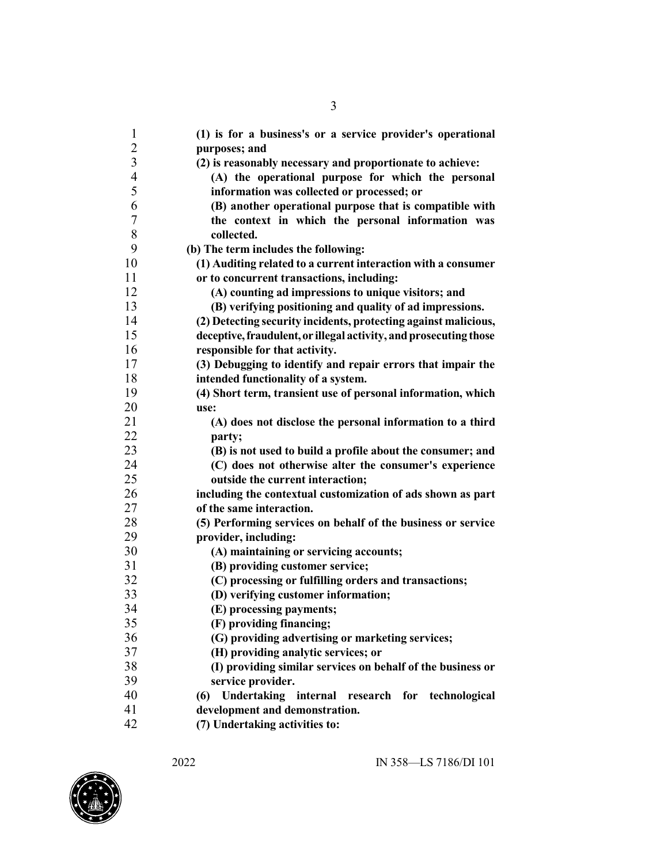| $\mathbf{1}$   | (1) is for a business's or a service provider's operational       |
|----------------|-------------------------------------------------------------------|
| $\overline{2}$ | purposes; and                                                     |
| 3              | (2) is reasonably necessary and proportionate to achieve:         |
| $\overline{4}$ | (A) the operational purpose for which the personal                |
| 5              | information was collected or processed; or                        |
| 6              | (B) another operational purpose that is compatible with           |
| 7              | the context in which the personal information was                 |
| 8              | collected.                                                        |
| 9              | (b) The term includes the following:                              |
| 10             | (1) Auditing related to a current interaction with a consumer     |
| 11             | or to concurrent transactions, including:                         |
| 12             | (A) counting ad impressions to unique visitors; and               |
| 13             | (B) verifying positioning and quality of ad impressions.          |
| 14             | (2) Detecting security incidents, protecting against malicious,   |
| 15             | deceptive, fraudulent, or illegal activity, and prosecuting those |
| 16             | responsible for that activity.                                    |
| 17             | (3) Debugging to identify and repair errors that impair the       |
| 18             | intended functionality of a system.                               |
| 19             | (4) Short term, transient use of personal information, which      |
| 20             | use:                                                              |
| 21             | (A) does not disclose the personal information to a third         |
| 22             | party;                                                            |
| 23             | (B) is not used to build a profile about the consumer; and        |
| 24             | (C) does not otherwise alter the consumer's experience            |
| 25             | outside the current interaction;                                  |
| 26             | including the contextual customization of ads shown as part       |
| 27             | of the same interaction.                                          |
| 28             | (5) Performing services on behalf of the business or service      |
| 29             | provider, including:                                              |
| 30             | (A) maintaining or servicing accounts;                            |
| 31             | (B) providing customer service;                                   |
| 32             | (C) processing or fulfilling orders and transactions;             |
| 33             | (D) verifying customer information;                               |
| 34             | (E) processing payments;                                          |
| 35             | (F) providing financing;                                          |
| 36             | (G) providing advertising or marketing services;                  |
| 37             | (H) providing analytic services; or                               |
| 38             | (I) providing similar services on behalf of the business or       |
| 39             | service provider.                                                 |
| 40             | Undertaking internal research for technological<br>(6)            |
| 41             | development and demonstration.                                    |
| 42             | (7) Undertaking activities to:                                    |

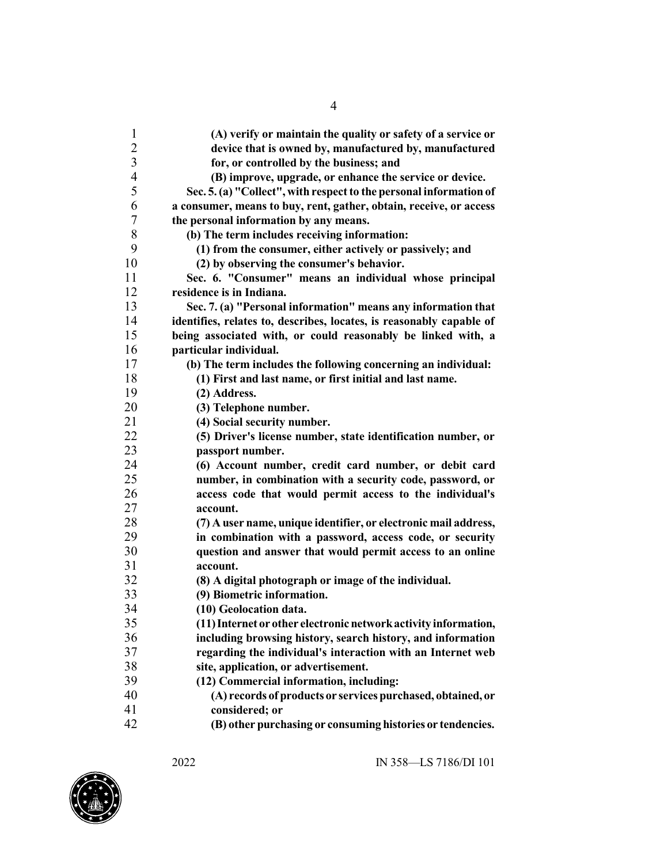| 1              | (A) verify or maintain the quality or safety of a service or         |
|----------------|----------------------------------------------------------------------|
| $\overline{c}$ | device that is owned by, manufactured by, manufactured               |
| $\overline{3}$ | for, or controlled by the business; and                              |
| $\overline{4}$ | (B) improve, upgrade, or enhance the service or device.              |
| 5              | Sec. 5. (a) "Collect", with respect to the personal information of   |
| 6              | a consumer, means to buy, rent, gather, obtain, receive, or access   |
| 7              | the personal information by any means.                               |
| 8              | (b) The term includes receiving information:                         |
| 9              | (1) from the consumer, either actively or passively; and             |
| 10             | (2) by observing the consumer's behavior.                            |
| 11             | Sec. 6. "Consumer" means an individual whose principal               |
| 12             | residence is in Indiana.                                             |
| 13             | Sec. 7. (a) "Personal information" means any information that        |
| 14             | identifies, relates to, describes, locates, is reasonably capable of |
| 15             | being associated with, or could reasonably be linked with, a         |
| 16             | particular individual.                                               |
| 17             | (b) The term includes the following concerning an individual:        |
| 18             | (1) First and last name, or first initial and last name.             |
| 19             | (2) Address.                                                         |
| 20             | (3) Telephone number.                                                |
| 21             | (4) Social security number.                                          |
| 22             | (5) Driver's license number, state identification number, or         |
| 23             | passport number.                                                     |
| 24             | (6) Account number, credit card number, or debit card                |
| 25             | number, in combination with a security code, password, or            |
| 26             | access code that would permit access to the individual's             |
| 27             | account.                                                             |
| 28             | (7) A user name, unique identifier, or electronic mail address,      |
| 29             | in combination with a password, access code, or security             |
| 30             | question and answer that would permit access to an online            |
| 31             | account.                                                             |
| 32             | (8) A digital photograph or image of the individual.                 |
| 33             | (9) Biometric information.                                           |
| 34             | (10) Geolocation data.                                               |
| 35             | (11) Internet or other electronic network activity information,      |
| 36             | including browsing history, search history, and information          |
| 37             | regarding the individual's interaction with an Internet web          |
| 38             | site, application, or advertisement.                                 |
| 39             | (12) Commercial information, including:                              |
| 40             | (A) records of products or services purchased, obtained, or          |
| 41             | considered; or                                                       |
| 42             | (B) other purchasing or consuming histories or tendencies.           |

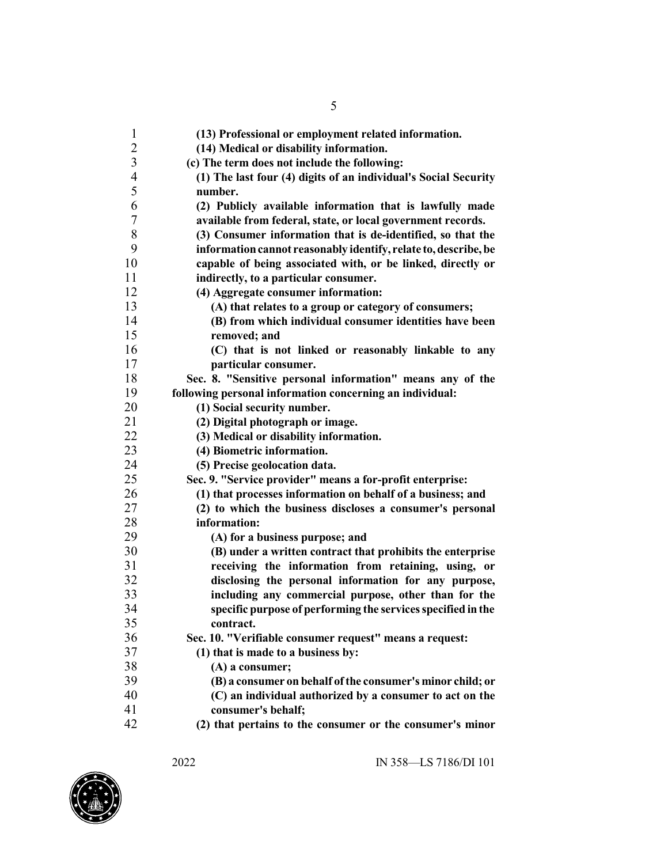| $\mathbf{1}$  | (13) Professional or employment related information.            |
|---------------|-----------------------------------------------------------------|
|               | (14) Medical or disability information.                         |
| $\frac{2}{3}$ | (c) The term does not include the following:                    |
|               | (1) The last four (4) digits of an individual's Social Security |
| $rac{4}{5}$   | number.                                                         |
| 6             | (2) Publicly available information that is lawfully made        |
| $\sqrt{ }$    | available from federal, state, or local government records.     |
| $8\,$         | (3) Consumer information that is de-identified, so that the     |
| 9             | information cannot reasonably identify, relate to, describe, be |
| 10            | capable of being associated with, or be linked, directly or     |
| 11            | indirectly, to a particular consumer.                           |
| 12            | (4) Aggregate consumer information:                             |
| 13            | (A) that relates to a group or category of consumers;           |
| 14            | (B) from which individual consumer identities have been         |
| 15            | removed; and                                                    |
| 16            | (C) that is not linked or reasonably linkable to any            |
| 17            | particular consumer.                                            |
| 18            | Sec. 8. "Sensitive personal information" means any of the       |
| 19            | following personal information concerning an individual:        |
| 20            | (1) Social security number.                                     |
| 21            | (2) Digital photograph or image.                                |
| 22            | (3) Medical or disability information.                          |
| 23            | (4) Biometric information.                                      |
| 24            | (5) Precise geolocation data.                                   |
| 25            | Sec. 9. "Service provider" means a for-profit enterprise:       |
| 26            | (1) that processes information on behalf of a business; and     |
| 27            | (2) to which the business discloses a consumer's personal       |
| 28            | information:                                                    |
| 29            | (A) for a business purpose; and                                 |
| 30            | (B) under a written contract that prohibits the enterprise      |
| 31            | receiving the information from retaining, using, or             |
| 32            | disclosing the personal information for any purpose,            |
| 33            | including any commercial purpose, other than for the            |
| 34            | specific purpose of performing the services specified in the    |
| 35            | contract.                                                       |
| 36            | Sec. 10. "Verifiable consumer request" means a request:         |
| 37            | (1) that is made to a business by:                              |
| 38            | (A) a consumer;                                                 |
| 39            | (B) a consumer on behalf of the consumer's minor child; or      |
| 40            | (C) an individual authorized by a consumer to act on the        |
| 41            | consumer's behalf;                                              |
| 42            | (2) that pertains to the consumer or the consumer's minor       |

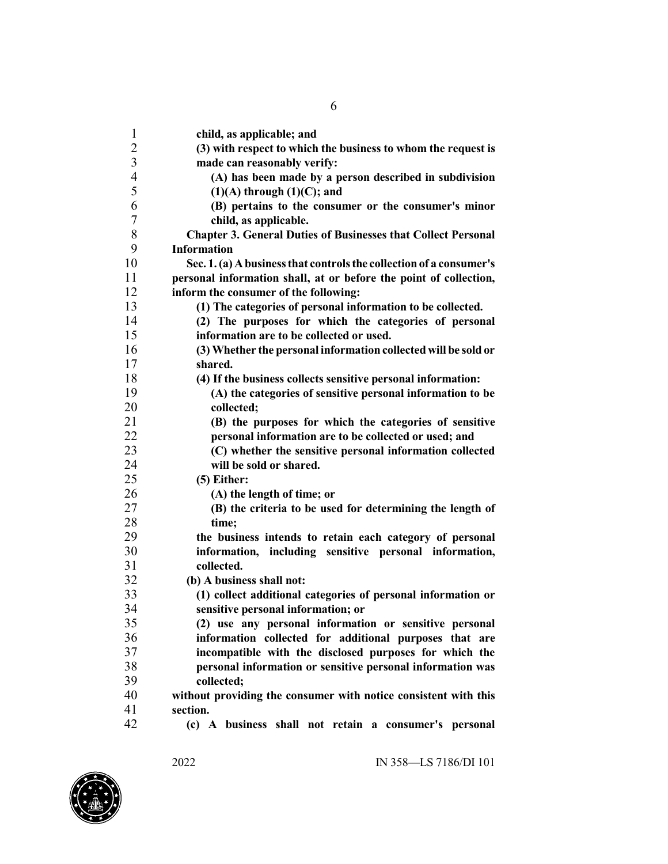| 1                       | child, as applicable; and                                            |
|-------------------------|----------------------------------------------------------------------|
| $\overline{c}$          | (3) with respect to which the business to whom the request is        |
| $\overline{\mathbf{3}}$ | made can reasonably verify:                                          |
| $\overline{4}$          | (A) has been made by a person described in subdivision               |
| 5                       | $(1)(A)$ through $(1)(C)$ ; and                                      |
| 6                       | (B) pertains to the consumer or the consumer's minor                 |
| $\tau$                  | child, as applicable.                                                |
| 8                       | <b>Chapter 3. General Duties of Businesses that Collect Personal</b> |
| 9                       | <b>Information</b>                                                   |
| 10                      | Sec. 1. (a) A business that controls the collection of a consumer's  |
| 11                      | personal information shall, at or before the point of collection,    |
| 12                      | inform the consumer of the following:                                |
| 13                      | (1) The categories of personal information to be collected.          |
| 14                      | (2) The purposes for which the categories of personal                |
| 15                      | information are to be collected or used.                             |
| 16                      | (3) Whether the personal information collected will be sold or       |
| 17                      | shared.                                                              |
| 18                      | (4) If the business collects sensitive personal information:         |
| 19                      | (A) the categories of sensitive personal information to be           |
| 20                      | collected:                                                           |
| 21                      | (B) the purposes for which the categories of sensitive               |
| 22                      | personal information are to be collected or used; and                |
| 23                      | (C) whether the sensitive personal information collected             |
| 24                      | will be sold or shared.                                              |
| 25                      | $(5)$ Either:                                                        |
| 26                      | (A) the length of time; or                                           |
| 27                      | (B) the criteria to be used for determining the length of            |
| 28                      | time;                                                                |
| 29<br>30                | the business intends to retain each category of personal             |
| 31                      | information, including sensitive personal information,<br>collected. |
| 32                      | (b) A business shall not:                                            |
| 33                      | (1) collect additional categories of personal information or         |
| 34                      | sensitive personal information; or                                   |
| 35                      | (2) use any personal information or sensitive personal               |
| 36                      | information collected for additional purposes that are               |
| 37                      | incompatible with the disclosed purposes for which the               |
| 38                      | personal information or sensitive personal information was           |
| 39                      | collected;                                                           |
| 40                      | without providing the consumer with notice consistent with this      |
| 41                      | section.                                                             |
| 42                      | (c) A business shall not retain a consumer's personal                |
|                         |                                                                      |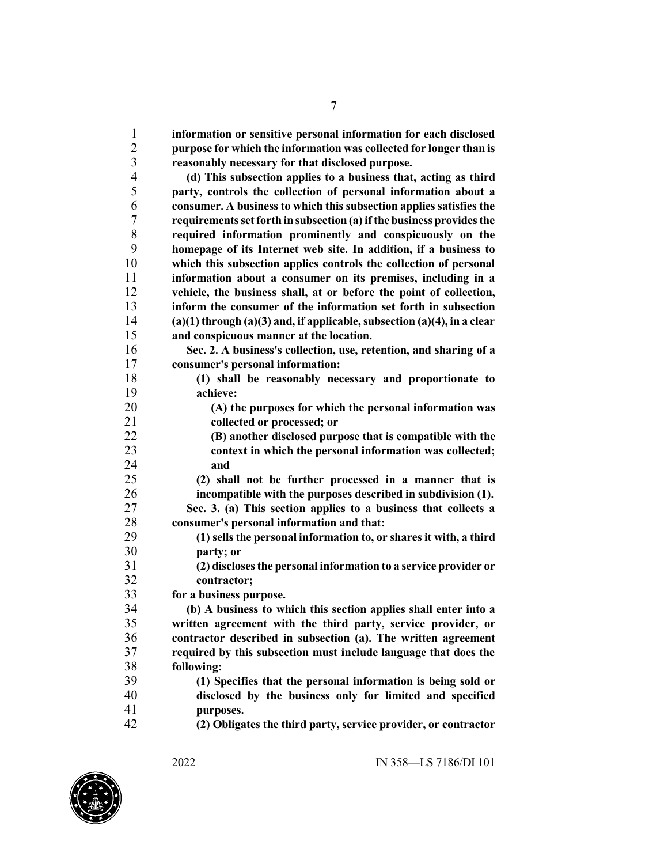**information or sensitive personal information for each disclosed purpose for which the information was collected for longer than is reasonably necessary for that disclosed purpose. (d) This subsection applies to a business that, acting as third party, controls the collection of personal information about a consumer. A business to which this subsection applies satisfies the requirementssetforth insubsection(a)ifthe business providesthe required information prominently and conspicuously on the homepage of its Internet web site. In addition, if a business to which this subsection applies controls the collection of personal information about a consumer on its premises, including in a vehicle, the business shall, at or before the point of collection, inform the consumer of the information set forth in subsection (a)(1) through (a)(3) and, if applicable,subsection (a)(4), in a clear and conspicuous manner at the location. Sec. 2. A business's collection, use, retention, and sharing of a consumer's personal information: (1) shall be reasonably necessary and proportionate to achieve: (A) the purposes for which the personal information was collected or processed; or (B) another disclosed purpose that is compatible with the context in which the personal information was collected; and (2) shall not be further processed in a manner that is incompatible with the purposes described in subdivision (1). Sec. 3. (a) This section applies to a business that collects a consumer's personal information and that: (1) sells the personal information to, or shares it with, a third party; or (2) disclosesthe personal information to a service provider or contractor; for a business purpose. (b) A business to which this section applies shall enter into a written agreement with the third party, service provider, or contractor described in subsection (a). The written agreement required by this subsection must include language that does the following: (1) Specifies that the personal information is being sold or disclosed by the business only for limited and specified purposes. (2) Obligates the third party, service provider, or contractor**

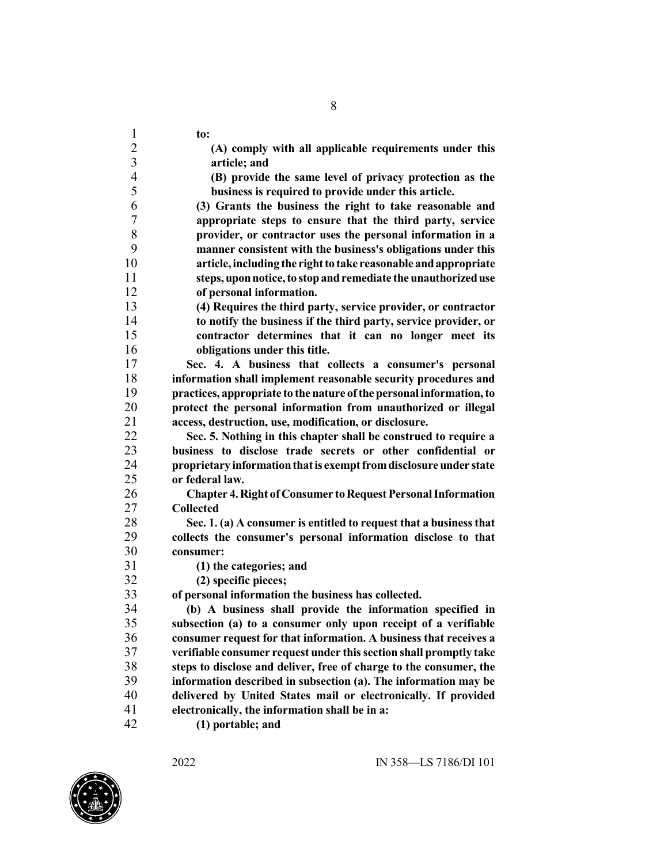| $\mathbf{1}$            | to:                                                                  |
|-------------------------|----------------------------------------------------------------------|
| $\overline{c}$          | (A) comply with all applicable requirements under this               |
| $\overline{\mathbf{3}}$ | article; and                                                         |
| $\overline{4}$          | (B) provide the same level of privacy protection as the              |
| 5                       | business is required to provide under this article.                  |
| 6                       | (3) Grants the business the right to take reasonable and             |
| $\boldsymbol{7}$        | appropriate steps to ensure that the third party, service            |
| $8\,$                   | provider, or contractor uses the personal information in a           |
| 9                       | manner consistent with the business's obligations under this         |
| 10                      | article, including the right to take reasonable and appropriate      |
| 11                      | steps, upon notice, to stop and remediate the unauthorized use       |
| 12                      | of personal information.                                             |
| 13                      | (4) Requires the third party, service provider, or contractor        |
| 14                      | to notify the business if the third party, service provider, or      |
| 15                      | contractor determines that it can no longer meet its                 |
| 16                      | obligations under this title.                                        |
| 17                      | Sec. 4. A business that collects a consumer's personal               |
| 18                      | information shall implement reasonable security procedures and       |
| 19                      | practices, appropriate to the nature of the personal information, to |
| 20                      | protect the personal information from unauthorized or illegal        |
| 21                      | access, destruction, use, modification, or disclosure.               |
| 22                      | Sec. 5. Nothing in this chapter shall be construed to require a      |
| 23                      | business to disclose trade secrets or other confidential or          |
| 24                      | proprietary information that is exempt from disclosure under state   |
| 25                      | or federal law.                                                      |
| 26                      | <b>Chapter 4. Right of Consumer to Request Personal Information</b>  |
| 27                      | <b>Collected</b>                                                     |
| 28                      | Sec. 1. (a) A consumer is entitled to request that a business that   |
| 29                      | collects the consumer's personal information disclose to that        |
| 30                      | consumer:                                                            |
| 31                      | (1) the categories; and                                              |
| 32                      | (2) specific pieces;                                                 |
| 33                      | of personal information the business has collected.                  |
| 34                      | (b) A business shall provide the information specified in            |
| 35                      | subsection (a) to a consumer only upon receipt of a verifiable       |
| 36                      | consumer request for that information. A business that receives a    |
| 37                      | verifiable consumer request under this section shall promptly take   |
| 38                      | steps to disclose and deliver, free of charge to the consumer, the   |
| 39                      | information described in subsection (a). The information may be      |
| 40                      | delivered by United States mail or electronically. If provided       |
| 41                      | electronically, the information shall be in a:                       |
| $\sim$                  |                                                                      |

**(1) portable; and**

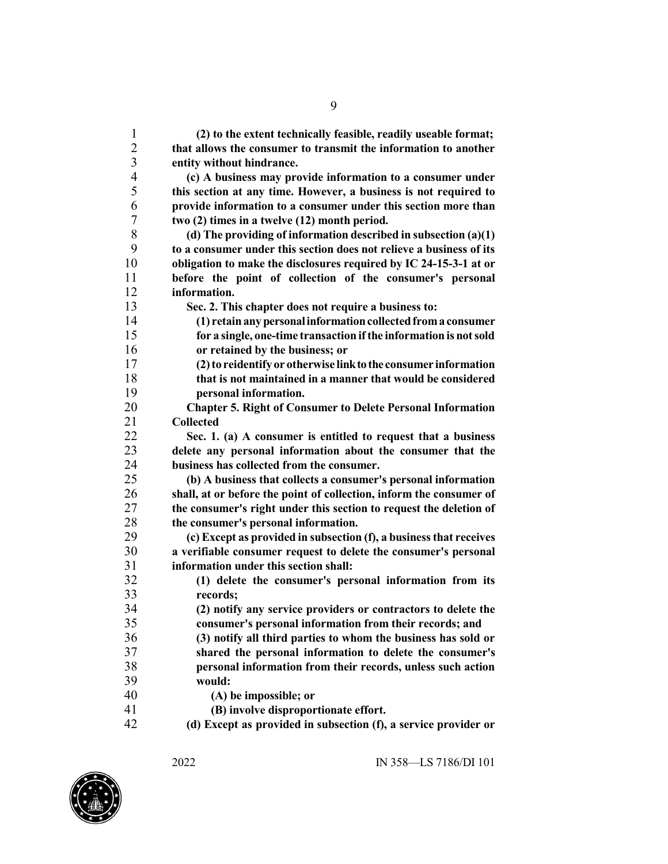**(2) to the extent technically feasible, readily useable format; that allows the consumer to transmit the information to another entity without hindrance. (c) A business may provide information to a consumer under this section at any time. However, a business is not required to provide information to a consumer under this section more than two (2) times in a twelve (12) month period. (d) The providing of information described in subsection (a)(1) to a consumer under this section does not relieve a business of its obligation to make the disclosures required by IC 24-15-3-1 at or before the point of collection of the consumer's personal information. Sec. 2. This chapter does not require a business to: (1) retainanypersonalinformationcollectedfroma consumer for a single, one-time transactionifthe information is notsold or retained by the business; or (2)to reidentify or otherwise linktothe consumer information that is not maintained in a manner that would be considered personal information. Chapter 5. Right of Consumer to Delete Personal Information Collected Sec. 1. (a) A consumer is entitled to request that a business delete any personal information about the consumer that the business has collected from the consumer. (b) A business that collects a consumer's personal information shall, at or before the point of collection, inform the consumer of the consumer's right under this section to request the deletion of the consumer's personal information. (c) Except as provided in subsection (f), a businessthat receives a verifiable consumer request to delete the consumer's personal information under this section shall: (1) delete the consumer's personal information from its records; (2) notify any service providers or contractors to delete the consumer's personal information from their records; and (3) notify all third parties to whom the business has sold or shared the personal information to delete the consumer's personal information from their records, unless such action would: (A) be impossible; or (B) involve disproportionate effort. (d) Except as provided in subsection (f), a service provider or**

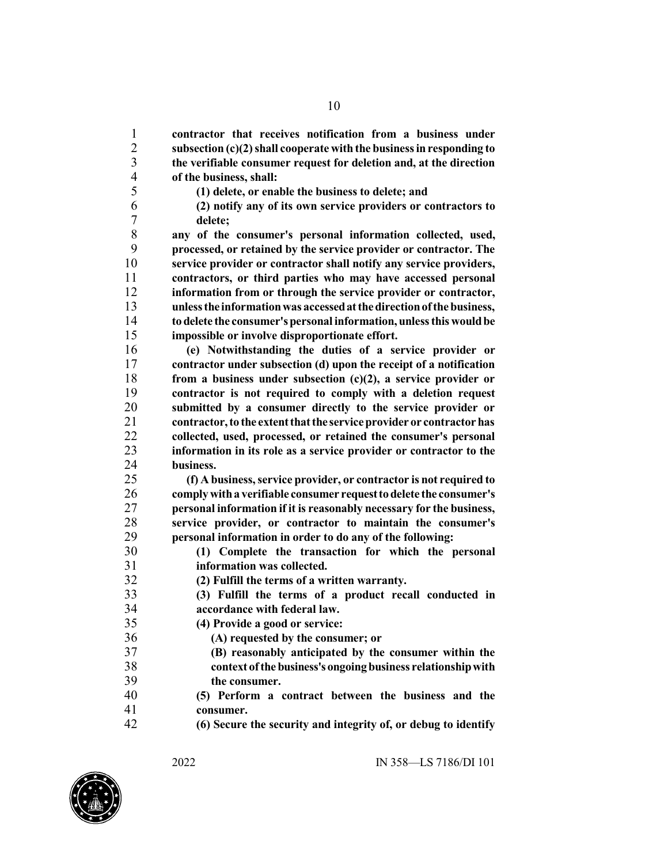**contractor that receives notification from a business under subsection (c)(2)shall cooperate with the businessinresponding to the verifiable consumer request for deletion and, at the direction of the business, shall:**

- **(1) delete, or enable the business to delete; and**
- **(2) notify any of its own service providers or contractors to delete;**

 **any of the consumer's personal information collected, used, processed, or retained by the service provider or contractor. The service provider or contractor shall notify any service providers, contractors, or third parties who may have accessed personal information from or through the service provider or contractor, unlessthe informationwas accessedatthedirectionofthebusiness, todelete the consumer'spersonal information, unlessthis wouldbe impossible or involve disproportionate effort.**

 **(e) Notwithstanding the duties of a service provider or contractor under subsection (d) upon the receipt of a notification from a business under subsection (c)(2), a service provider or contractor is not required to comply with a deletion request submitted by a consumer directly to the service provider or contractor,to the extentthatthe serviceprovider or contractorhas collected, used, processed, or retained the consumer's personal information in its role as a service provider or contractor to the business.**

 **(f) A business,service provider, or contractor is not required to complywitha verifiable consumer requesttodelete the consumer's personal information if it is reasonably necessary for the business, service provider, or contractor to maintain the consumer's personal information in order to do any of the following:**

 **(1) Complete the transaction for which the personal information was collected.**

**(2) Fulfill the terms of a written warranty.**

- **(3) Fulfill the terms of a product recall conducted in accordance with federal law.**
- **(4) Provide a good or service:**

**(A) requested by the consumer; or**

- **(B) reasonably anticipated by the consumer within the context ofthebusiness'songoingbusiness relationshipwith the consumer.**
- **(5) Perform a contract between the business and the consumer.**
- **(6) Secure the security and integrity of, or debug to identify**

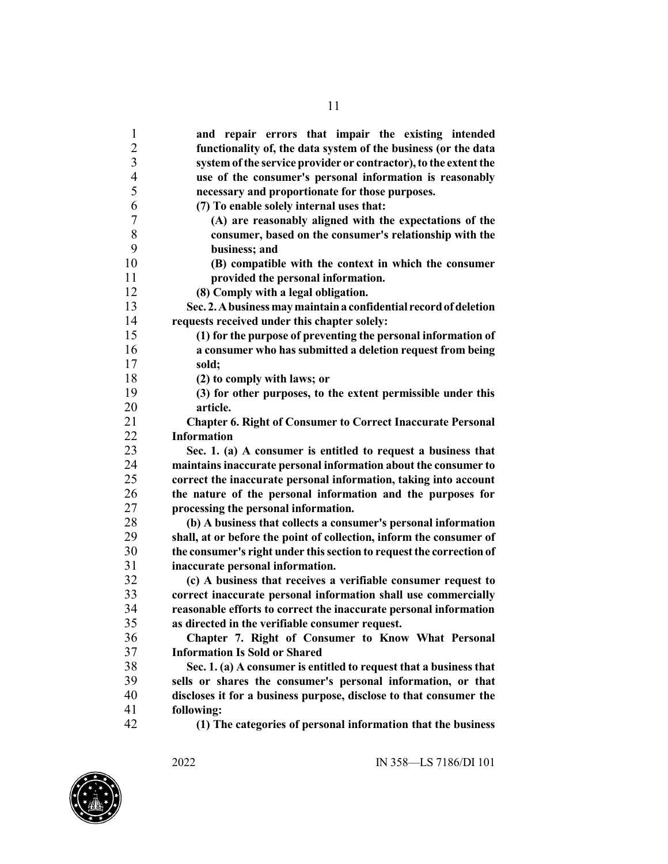**and repair errors that impair the existing intended functionality of, the data system of the business (or the data system ofthe service provider or contractor),to the extentthe use of the consumer's personal information is reasonably necessary and proportionate for those purposes. (7) To enable solely internal uses that: (A) are reasonably aligned with the expectations of the consumer, based on the consumer's relationship with the business; and (B) compatible with the context in which the consumer provided the personal information. (8) Comply with a legal obligation. Sec. 2.Abusinessmaymaintaina confidential recordofdeletion requests received under this chapter solely: (1) for the purpose of preventing the personal information of a consumer who has submitted a deletion request from being sold; (2) to comply with laws; or (3) for other purposes, to the extent permissible under this article. Chapter 6. Right of Consumer to Correct Inaccurate Personal Information Sec. 1. (a) A consumer is entitled to request a business that maintainsinaccurate personal information about the consumer to correct the inaccurate personal information, taking into account the nature of the personal information and the purposes for processing the personal information. (b) A business that collects a consumer's personal information shall, at or before the point of collection, inform the consumer of the consumer's right under thissection to requestthe correction of inaccurate personal information. (c) A business that receives a verifiable consumer request to correct inaccurate personal information shall use commercially reasonable efforts to correct the inaccurate personal information as directed in the verifiable consumer request. Chapter 7. Right of Consumer to Know What Personal Information Is Sold or Shared Sec. 1. (a) A consumer is entitled to request that a business that sells or shares the consumer's personal information, or that discloses it for a business purpose, disclose to that consumer the following: (1) The categories of personal information that the business**

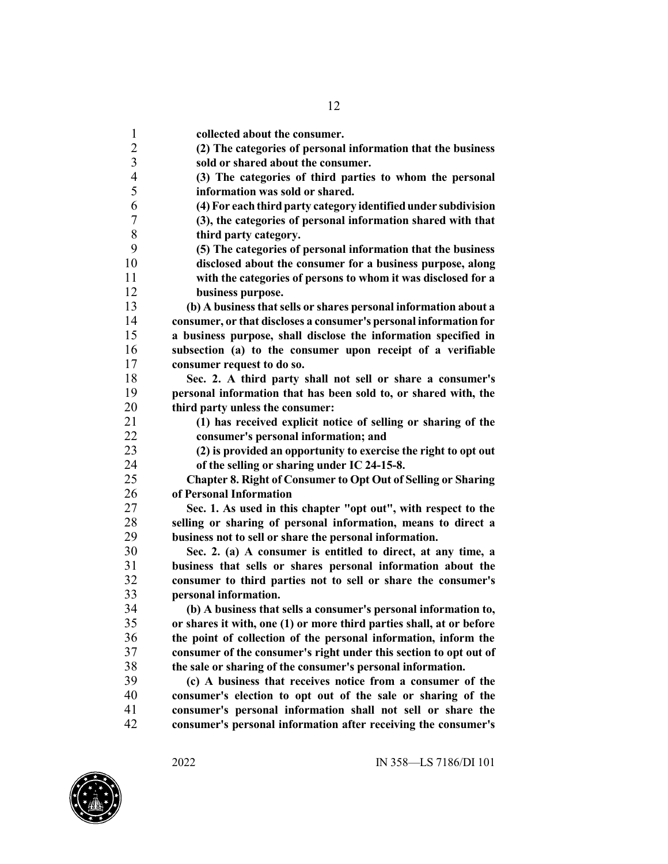**collected about the consumer. (2) The categories of personal information that the business sold or shared about the consumer. (3) The categories of third parties to whom the personal information was sold or shared. (4)For each third party category identifiedunder subdivision (3), the categories of personal information shared with that third party category. (5) The categories of personal information that the business disclosed about the consumer for a business purpose, along with the categories of persons to whom it was disclosed for a business purpose. (b) A businessthatsells or shares personal information about a consumer, or that discloses a consumer's personal information for a business purpose, shall disclose the information specified in subsection (a) to the consumer upon receipt of a verifiable consumer request to do so. Sec. 2. A third party shall not sell or share a consumer's personal information that has been sold to, or shared with, the third party unless the consumer: (1) has received explicit notice of selling or sharing of the consumer's personal information; and (2) is provided an opportunity to exercise the right to opt out of the selling or sharing under IC 24-15-8. Chapter 8. Right of Consumer to Opt Out of Selling or Sharing of Personal Information Sec. 1. As used in this chapter "opt out", with respect to the selling or sharing of personal information, means to direct a business not to sell or share the personal information. Sec. 2. (a) A consumer is entitled to direct, at any time, a business that sells or shares personal information about the consumer to third parties not to sell or share the consumer's personal information. (b) A business that sells a consumer's personal information to, or shares it with, one (1) or more third parties shall, at or before the point of collection of the personal information, inform the consumer of the consumer's right under this section to opt out of the sale or sharing of the consumer's personal information. (c) A business that receives notice from a consumer of the consumer's election to opt out of the sale or sharing of the consumer's personal information shall not sell or share the consumer's personal information after receiving the consumer's**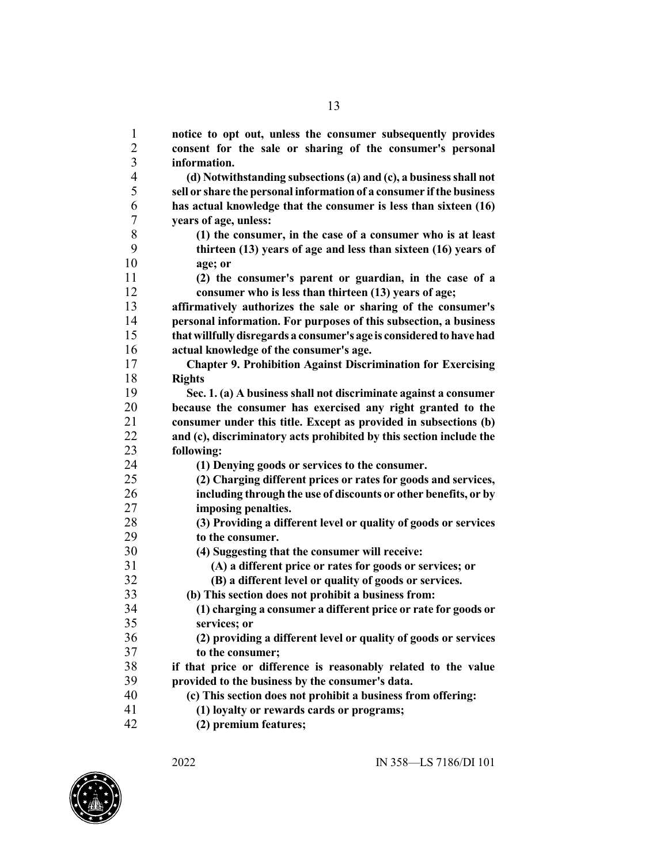**notice to opt out, unless the consumer subsequently provides consent for the sale or sharing of the consumer's personal information. (d) Notwithstanding subsections(a) and (c), a businessshall not sell or share the personal informationof a consumer ifthe business has actual knowledge that the consumer is less than sixteen (16) years of age, unless: (1) the consumer, in the case of a consumer who is at least thirteen (13) years of age and less than sixteen (16) years of age; or (2) the consumer's parent or guardian, in the case of a consumer who is less than thirteen (13) years of age; affirmatively authorizes the sale or sharing of the consumer's personal information. For purposes of this subsection, a business thatwillfullydisregards a consumer's age is consideredtohavehad actual knowledge of the consumer's age. Chapter 9. Prohibition Against Discrimination for Exercising Rights Sec. 1. (a) A business shall not discriminate against a consumer because the consumer has exercised any right granted to the consumer under this title. Except as provided in subsections (b) and (c), discriminatory acts prohibited by this section include the following: (1) Denying goods or services to the consumer. (2) Charging different prices or rates for goods and services, including through the use of discounts or other benefits, or by imposing penalties. (3) Providing a different level or quality of goods or services to the consumer. (4) Suggesting that the consumer will receive: (A) a different price or rates for goods or services; or (B) a different level or quality of goods or services. (b) This section does not prohibit a business from: (1) charging a consumer a different price or rate for goods or services; or (2) providing a different level or quality of goods or services to the consumer; if that price or difference is reasonably related to the value provided to the business by the consumer's data. (c) This section does not prohibit a business from offering: (1) loyalty or rewards cards or programs; (2) premium features;**



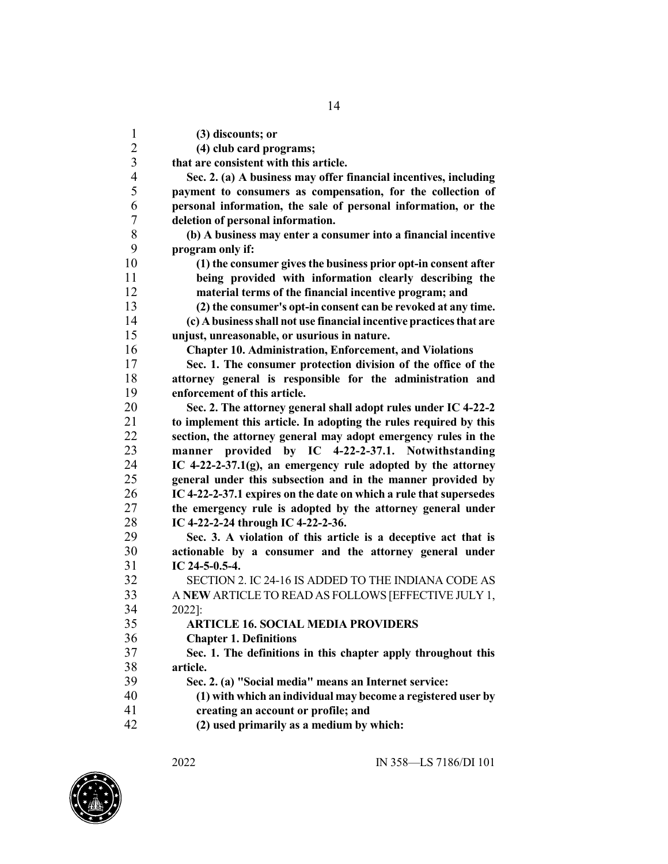**(3) discounts; or (4) club card programs; that are consistent with this article. Sec. 2. (a) A business may offer financial incentives, including payment to consumers as compensation, for the collection of personal information, the sale of personal information, or the deletion of personal information. (b) A business may enter a consumer into a financial incentive program only if: (1) the consumer givesthe business prior opt-in consent after being provided with information clearly describing the material terms of the financial incentive program; and (2) the consumer's opt-in consent can be revoked at any time. (c) Abusinessshall not use financial incentive practicesthat are unjust, unreasonable, or usurious in nature. Chapter 10. Administration, Enforcement, and Violations Sec. 1. The consumer protection division of the office of the attorney general is responsible for the administration and enforcement of this article. Sec. 2. The attorney general shall adopt rules under IC 4-22-2 to implement this article. In adopting the rules required by this section, the attorney general may adopt emergency rules in the manner provided by IC 4-22-2-37.1. Notwithstanding IC 4-22-2-37.1(g), an emergency rule adopted by the attorney general under this subsection and in the manner provided by IC 4-22-2-37.1 expires on the date on which a rule that supersedes the emergency rule is adopted by the attorney general under IC 4-22-2-24 through IC 4-22-2-36. Sec. 3. A violation of this article is a deceptive act that is actionable by a consumer and the attorney general under IC 24-5-0.5-4.** SECTION 2. IC 24-16 IS ADDED TO THE INDIANA CODE AS A **NEW** ARTICLE TO READ AS FOLLOWS [EFFECTIVE JULY 1, 2022]: **ARTICLE 16. SOCIAL MEDIA PROVIDERS Chapter 1. Definitions Sec. 1. The definitions in this chapter apply throughout this article. Sec. 2. (a) "Social media" means an Internet service: (1) with which an individual may become a registered user by creating an account or profile; and**

**(2) used primarily as a medium by which:**

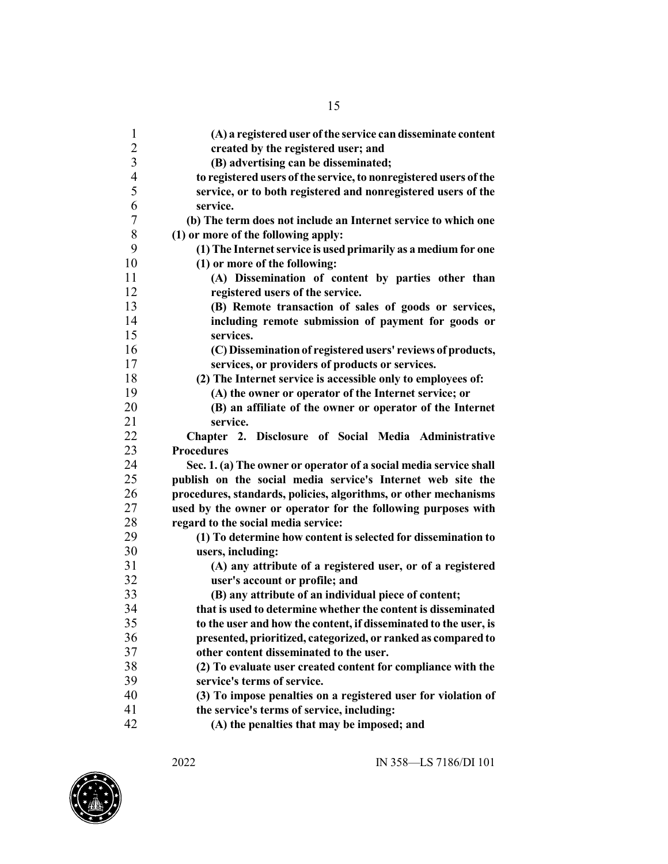| $\mathbf{1}$             | (A) a registered user of the service can disseminate content                    |
|--------------------------|---------------------------------------------------------------------------------|
| $\overline{c}$           | created by the registered user; and                                             |
| $\overline{3}$           | (B) advertising can be disseminated;                                            |
| $\overline{\mathcal{A}}$ | to registered users of the service, to nonregistered users of the               |
| 5                        | service, or to both registered and nonregistered users of the                   |
| 6                        | service.                                                                        |
| 7                        | (b) The term does not include an Internet service to which one                  |
| 8                        | (1) or more of the following apply:                                             |
| 9                        | (1) The Internet service is used primarily as a medium for one                  |
| 10                       | (1) or more of the following:                                                   |
| 11                       | (A) Dissemination of content by parties other than                              |
| 12                       | registered users of the service.                                                |
| 13                       | (B) Remote transaction of sales of goods or services,                           |
| 14                       | including remote submission of payment for goods or                             |
| 15                       | services.                                                                       |
| 16                       | (C) Dissemination of registered users' reviews of products,                     |
| 17                       | services, or providers of products or services.                                 |
| 18                       | (2) The Internet service is accessible only to employees of:                    |
| 19                       | (A) the owner or operator of the Internet service; or                           |
| 20                       | (B) an affiliate of the owner or operator of the Internet                       |
| 21                       | service.                                                                        |
| 22                       | Chapter 2. Disclosure of Social Media Administrative<br><b>Procedures</b>       |
| 23                       |                                                                                 |
| 24<br>25                 | Sec. 1. (a) The owner or operator of a social media service shall               |
|                          | publish on the social media service's Internet web site the                     |
| 26<br>27                 | procedures, standards, policies, algorithms, or other mechanisms                |
| 28                       | used by the owner or operator for the following purposes with                   |
| 29                       | regard to the social media service:                                             |
| 30                       | (1) To determine how content is selected for dissemination to                   |
| 31                       | users, including:<br>(A) any attribute of a registered user, or of a registered |
| 32                       | user's account or profile; and                                                  |
| 33                       | (B) any attribute of an individual piece of content;                            |
| 34                       | that is used to determine whether the content is disseminated                   |
| 35                       | to the user and how the content, if disseminated to the user, is                |
| 36                       | presented, prioritized, categorized, or ranked as compared to                   |
| 37                       | other content disseminated to the user.                                         |
| 38                       | (2) To evaluate user created content for compliance with the                    |
| 39                       | service's terms of service.                                                     |
| 40                       | (3) To impose penalties on a registered user for violation of                   |
| 41                       |                                                                                 |
| 42                       | the service's terms of service, including:                                      |
|                          | (A) the penalties that may be imposed; and                                      |